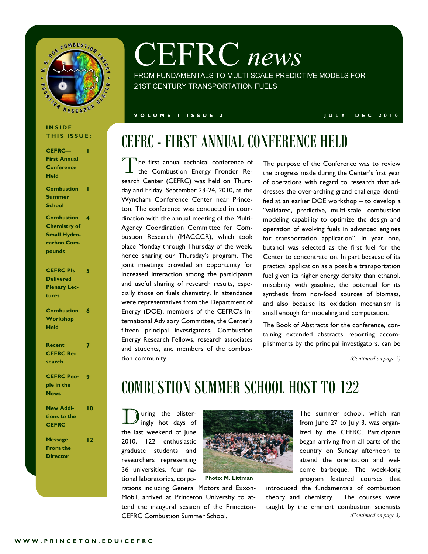

# CEFRC *news*

FROM FUNDAMENTALS TO MULTI-SCALE PREDICTIVE MODELS FOR 21ST CENTURY TRANSPORTATION FUELS

#### **V O L U M E 1 I S S U E 2 J U L Y — D E C 2 0 1 0**

#### **I N S I D E THIS ISSUE:**

| <b>CEFRC-</b>       |   |
|---------------------|---|
| <b>First Annual</b> |   |
| <b>Conference</b>   |   |
| Held                |   |
| <b>Combustion</b>   |   |
| <b>Summer</b>       |   |
| <b>School</b>       |   |
| <b>Combustion</b>   | 4 |
| <b>Chemistry of</b> |   |
| <b>Small Hydro-</b> |   |
| carbon Com-         |   |
| pounds              |   |
| <b>CEFRC PIs</b>    | 5 |
| <b>Delivered</b>    |   |
| <b>Plenary Lec-</b> |   |
| tures               |   |
|                     |   |
| <b>Combustion</b>   | 6 |

| Recent            |  |
|-------------------|--|
| <b>CEFRC Re-</b>  |  |
| search            |  |
|                   |  |
| <b>CEFRC Peo-</b> |  |
| ple in the        |  |

**Workshop Held**

### **News New Additions to the**

**10**

**12**

**CEFRC Message From the Director**

# CEFRC - FIRST ANNUAL CONFERENCE HELD

T he first annual technical conference of the Combustion Energy Frontier Research Center (CEFRC) was held on Thursday and Friday, September 23-24, 2010, at the Wyndham Conference Center near Princeton. The conference was conducted in coordination with the annual meeting of the Multi-Agency Coordination Committee for Combustion Research (MACCCR), which took place Monday through Thursday of the week, hence sharing our Thursday's program. The joint meetings provided an opportunity for increased interaction among the participants and useful sharing of research results, especially those on fuels chemistry. In attendance were representatives from the Department of Energy (DOE), members of the CEFRC's International Advisory Committee, the Center's fifteen principal investigators, Combustion Energy Research Fellows, research associates and students, and members of the combustion community.

The purpose of the Conference was to review the progress made during the Center's first year of operations with regard to research that addresses the over-arching grand challenge identified at an earlier DOE workshop – to develop a "validated, predictive, multi-scale, combustion modeling capability to optimize the design and operation of evolving fuels in advanced engines for transportation application". In year one, butanol was selected as the first fuel for the Center to concentrate on. In part because of its practical application as a possible transportation fuel given its higher energy density than ethanol, miscibility with gasoline, the potential for its synthesis from non-food sources of biomass, and also because its oxidation mechanism is small enough for modeling and computation.

The Book of Abstracts for the conference, containing extended abstracts reporting accomplishments by the principal investigators, can be

*(Continued on page 2)*

### COMBUSTION SUMMER SCHOOL HOST TO 122

During the blister-ingly hot days of the last weekend of June 2010, 122 enthusiastic graduate students and researchers representing 36 universities, four national laboratories, corpo-

**Photo: M. Littman**

rations including General Motors and Exxon-Mobil, arrived at Princeton University to attend the inaugural session of the Princeton-CEFRC Combustion Summer School.

The summer school, which ran from June 27 to July 3, was organized by the CEFRC. Participants began arriving from all parts of the country on Sunday afternoon to attend the orientation and welcome barbeque. The week-long program featured courses that

introduced the fundamentals of combustion theory and chemistry. The courses were taught by the eminent combustion scientists *(Continued on page 3)*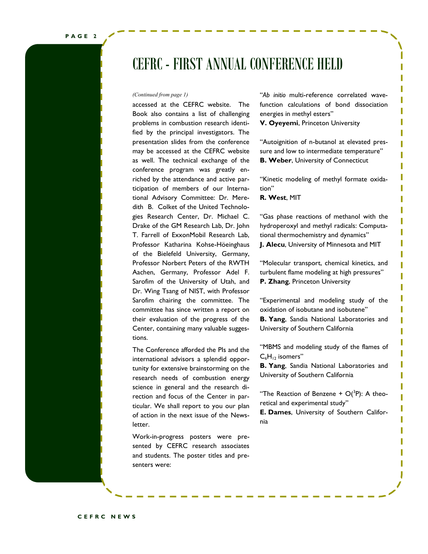### CEFRC - FIRST ANNUAL CONFERENCE HELD

accessed at the CEFRC website. The Book also contains a list of challenging problems in combustion research identified by the principal investigators. The presentation slides from the conference may be accessed at the CEFRC website as well. The technical exchange of the conference program was greatly enriched by the attendance and active participation of members of our International Advisory Committee: Dr. Meredith B. Colket of the United Technologies Research Center, Dr. Michael C. Drake of the GM Research Lab, Dr. John T. Farrell of ExxonMobil Research Lab, Professor Katharina Kohse-Höeinghaus of the Bielefeld University, Germany, Professor Norbert Peters of the RWTH Aachen, Germany, Professor Adel F. Sarofim of the University of Utah, and Dr. Wing Tsang of NIST, with Professor Sarofim chairing the committee. The committee has since written a report on their evaluation of the progress of the Center, containing many valuable suggestions.

The Conference afforded the PIs and the international advisors a splendid opportunity for extensive brainstorming on the research needs of combustion energy science in general and the research direction and focus of the Center in particular. We shall report to you our plan of action in the next issue of the Newsletter.

Work-in-progress posters were presented by CEFRC research associates and students. The poster titles and presenters were:

*(Continued from page 1)* "*Ab initio* multi-reference correlated wavefunction calculations of bond dissociation energies in methyl esters"

**V. Oyeyemi**, Princeton University

"Autoignition of n-butanol at elevated pressure and low to intermediate temperature" **B. Weber**, University of Connecticut

"Kinetic modeling of methyl formate oxidation"

**R. West**, MIT

"Gas phase reactions of methanol with the hydroperoxyl and methyl radicals: Computational thermochemistry and dynamics" **J. Alecu**, University of Minnesota and MIT

"Molecular transport, chemical kinetics, and turbulent flame modeling at high pressures" **P. Zhang**, Princeton University

"Experimental and modeling study of the oxidation of isobutane and isobutene" **B. Yang**, Sandia National Laboratories and University of Southern California

"MBMS and modeling study of the flames of  $C_6H_{12}$  isomers"

**B. Yang**, Sandia National Laboratories and University of Southern California

"The Reaction of Benzene  $+$  O( ${}^{3}P$ ): A theoretical and experimental study"

**E. Dames**, University of Southern California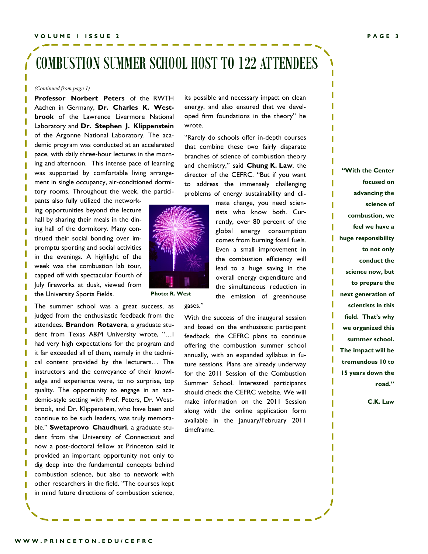### COMBUSTION SUMMER SCHOOL HOST TO 122 ATTENDEES

#### *(Continued from page 1)*

**Professor Norbert Peters** of the RWTH Aachen in Germany, **Dr. Charles K. Westbrook** of the Lawrence Livermore National Laboratory and **Dr. Stephen J. Klippenstein** of the Argonne National Laboratory. The academic program was conducted at an accelerated pace, with daily three-hour lectures in the morning and afternoon. This intense pace of learning was supported by comfortable living arrangement in single occupancy, air-conditioned dormitory rooms. Throughout the week, the partici-

pants also fully utilized the networking opportunities beyond the lecture hall by sharing their meals in the dining hall of the dormitory. Many continued their social bonding over impromptu sporting and social activities in the evenings. A highlight of the week was the combustion lab tour, capped off with spectacular Fourth of July fireworks at dusk, viewed from the University Sports Fields.

The summer school was a great success, as judged from the enthusiastic feedback from the attendees. **Brandon Rotavera**, a graduate student from Texas A&M University wrote, "…I had very high expectations for the program and it far exceeded all of them, namely in the technical content provided by the lecturers… The instructors and the conveyance of their knowledge and experience were, to no surprise, top quality. The opportunity to engage in an academic-style setting with Prof. Peters, Dr. Westbrook, and Dr. Klippenstein, who have been and continue to be such leaders, was truly memorable." **Swetaprovo Chaudhuri**, a graduate student from the University of Connecticut and now a post-doctoral fellow at Princeton said it provided an important opportunity not only to dig deep into the fundamental concepts behind combustion science, but also to network with other researchers in the field. "The courses kept in mind future directions of combustion science,

its possible and necessary impact on clean energy, and also ensured that we developed firm foundations in the theory" he wrote.

"Rarely do schools offer in-depth courses that combine these two fairly disparate branches of science of combustion theory and chemistry," said **Chung K. Law**, the director of the CEFRC. "But if you want to address the immensely challenging problems of energy sustainability and cli-



**Photo: R. West**

gases."

tists who know both. Currently, over 80 percent of the global energy consumption comes from burning fossil fuels. Even a small improvement in the combustion efficiency will lead to a huge saving in the overall energy expenditure and the simultaneous reduction in the emission of greenhouse

With the success of the inaugural session and based on the enthusiastic participant feedback, the CEFRC plans to continue offering the combustion summer school annually, with an expanded syllabus in future sessions. Plans are already underway for the 2011 Session of the Combustion Summer School. Interested participants should check the CEFRC website. We will make information on the 2011 Session along with the online application form available in the January/February 2011 timeframe.

**"With the Center focused on advancing the science of combustion, we feel we have a huge responsibility to not only conduct the science now, but to prepare the next generation of scientists in this field. That's why we organized this summer school. The impact will be tremendous 10 to 15 years down the road."** 

**C.K. Law**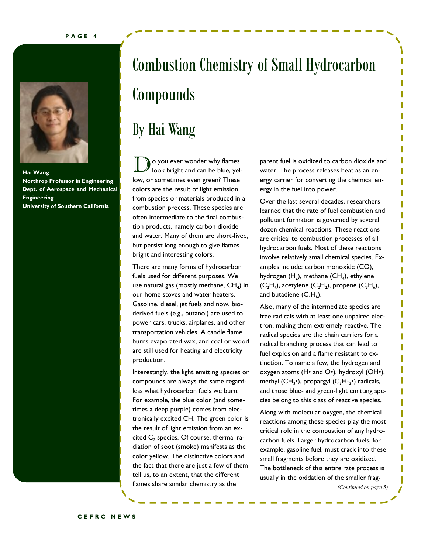

**Hai Wang Northrop Professor in Engineering Dept. of Aerospace and Mechanical Engineering University of Southern California**

## Combustion Chemistry of Small Hydrocarbon Compounds

## By Hai Wang

o you ever wonder why flames look bright and can be blue, yellow, or sometimes even green? These colors are the result of light emission from species or materials produced in a combustion process. These species are often intermediate to the final combustion products, namely carbon dioxide and water. Many of them are short-lived, but persist long enough to give flames bright and interesting colors.

There are many forms of hydrocarbon fuels used for different purposes. We use natural gas (mostly methane,  $\textsf{CH}_4$ ) in our home stoves and water heaters. Gasoline, diesel, jet fuels and now, bioderived fuels (e.g., butanol) are used to power cars, trucks, airplanes, and other transportation vehicles. A candle flame burns evaporated wax, and coal or wood are still used for heating and electricity production.

Interestingly, the light emitting species or compounds are always the same regardless what hydrocarbon fuels we burn. For example, the blue color (and sometimes a deep purple) comes from electronically excited CH. The green color is the result of light emission from an excited  $C_2$  species. Of course, thermal radiation of soot (smoke) manifests as the color yellow. The distinctive colors and the fact that there are just a few of them tell us, to an extent, that the different flames share similar chemistry as the

parent fuel is oxidized to carbon dioxide and water. The process releases heat as an energy carrier for converting the chemical energy in the fuel into power.

Over the last several decades, researchers learned that the rate of fuel combustion and pollutant formation is governed by several dozen chemical reactions. These reactions are critical to combustion processes of all hydrocarbon fuels. Most of these reactions involve relatively small chemical species. Examples include: carbon monoxide (CO), hydrogen  $(H_2)$ , methane (CH<sub>4</sub>), ethylene  $(C_2H_4)$ , acetylene  $(C_2H_2)$ , propene  $(C_3H_6)$ , and butadiene  $(C_4H_6)$ .

Also, many of the intermediate species are free radicals with at least one unpaired electron, making them extremely reactive. The radical species are the chain carriers for a radical branching process that can lead to fuel explosion and a flame resistant to extinction. To name a few, the hydrogen and oxygen atoms (H• and O•), hydroxyl (OH•), methyl  $(CH_3^{\bullet})$ , propargyl  $(C_3H_{3}^{\bullet})$  radicals, and those blue- and green-light emitting species belong to this class of reactive species.

Along with molecular oxygen, the chemical reactions among these species play the most critical role in the combustion of any hydrocarbon fuels. Larger hydrocarbon fuels, for example, gasoline fuel, must crack into these small fragments before they are oxidized. The bottleneck of this entire rate process is usually in the oxidation of the smaller frag-

*(Continued on page 5)*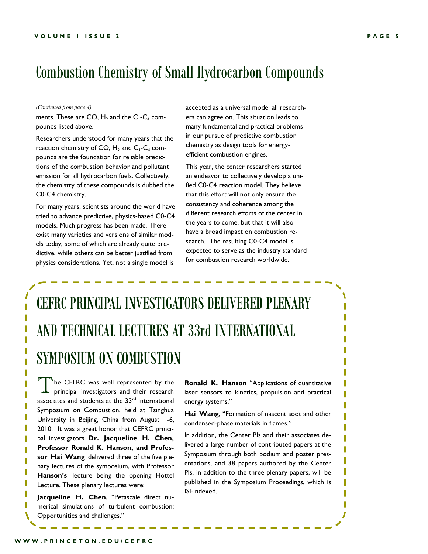### Combustion Chemistry of Small Hydrocarbon Compounds

#### *(Continued from page 4)*

ments. These are CO,  $H_2$  and the C<sub>1</sub>-C<sub>4</sub> compounds listed above.

Researchers understood for many years that the reaction chemistry of CO,  $H_2$  and C<sub>1</sub>-C<sub>4</sub> compounds are the foundation for reliable predictions of the combustion behavior and pollutant emission for all hydrocarbon fuels. Collectively, the chemistry of these compounds is dubbed the C0-C4 chemistry.

For many years, scientists around the world have tried to advance predictive, physics-based C0-C4 models. Much progress has been made. There exist many varieties and versions of similar models today; some of which are already quite predictive, while others can be better justified from physics considerations. Yet, not a single model is

accepted as a universal model all researchers can agree on. This situation leads to many fundamental and practical problems in our pursue of predictive combustion chemistry as design tools for energyefficient combustion engines.

This year, the center researchers started an endeavor to collectively develop a unified C0-C4 reaction model. They believe that this effort will not only ensure the consistency and coherence among the different research efforts of the center in the years to come, but that it will also have a broad impact on combustion research. The resulting C0-C4 model is expected to serve as the industry standard for combustion research worldwide.

## CEFRC PRINCIPAL INVESTIGATORS DELIVERED PLENARY AND TECHNICAL LECTURES AT 33rd INTERNATIONAL SYMPOSIUM ON COMBUSTION

T <sup>1</sup>he CEFRC was well represented by the principal investigators and their research associates and students at the 33<sup>rd</sup> International Symposium on Combustion, held at Tsinghua University in Beijing, China from August 1-6, 2010. It was a great honor that CEFRC principal investigators **Dr. Jacqueline H. Chen, Professor Ronald K. Hanson, and Professor Hai Wang** delivered three of the five plenary lectures of the symposium, with Professor **Hanson's** lecture being the opening Hottel Lecture. These plenary lectures were:

**Jacqueline H. Chen**, "Petascale direct numerical simulations of turbulent combustion: Opportunities and challenges."

**Ronald K. Hanson** "Applications of quantitative laser sensors to kinetics, propulsion and practical energy systems."

**Hai Wang**, "Formation of nascent soot and other condensed-phase materials in flames."

In addition, the Center PIs and their associates delivered a large number of contributed papers at the Symposium through both podium and poster presentations, and 38 papers authored by the Center PIs, in addition to the three plenary papers, will be published in the Symposium Proceedings, which is ISI-indexed.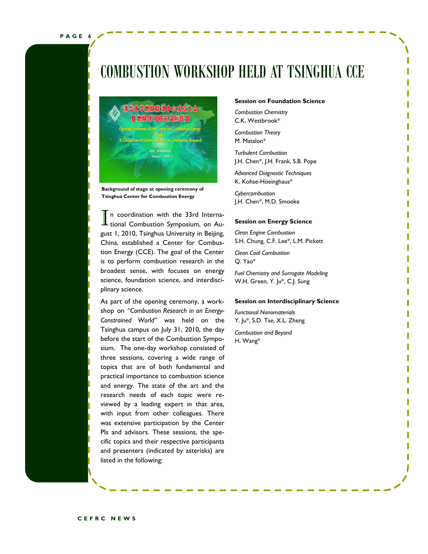### COMBUSTION WORKSHOP HELD AT TSINGHUA CCE



**Background of stage at opening ceremony of Tsinghua Center for Combustion Energy**

In coordination with the 33rd Interna-<br>tional Combustion Symposium, on Aun coordination with the 33rd Internagust 1, 2010, Tsinghua University in Beijing, China, established a Center for Combustion Energy (CCE). The goal of the Center is to perform combustion research in the broadest sense, with focuses on energy science, foundation science, and interdisciplinary science.

As part of the opening ceremony, a workshop on *"Combustion Research in an Energy-Constrained World"* was held on the Tsinghua campus on July 31, 2010, the day before the start of the Combustion Symposium. The one-day workshop consisted of three sessions, covering a wide range of topics that are of both fundamental and practical importance to combustion science and energy. The state of the art and the research needs of each topic were reviewed by a leading expert in that area, with input from other colleagues. There was extensive participation by the Center PIs and advisors. These sessions, the specific topics and their respective participants and presenters (indicated by asterisks) are listed in the following:

#### **Session on Foundation Science**

*Combustion Chemistry* C.K. Westbrook\*

*Combustion Theory* M. Matalon\*

*Turbulent Combustion* J.H. Chen\*, J.H. Frank, S.B. Pope

*Advanced Diagnostic Techniques* K. Kohse-Höeinghaus\*

*Cybercombustion* J.H. Chen\*, M.D. Smooke

#### **Session on Energy Science**

*Clean Engine Combustion*  S.H. Chung, C.F. Lee\*, L.M. Pickett

*Clean Coal Combustion* Q. Yao\*

*Fuel Chemistry and Surrogate Modeling*  W.H. Green, Y. Ju\*, C.J. Sung

#### **Session on Interdisciplinary Science**

*Functional Nanomaterials* Y. Ju\*, S.D. Tse, X.L. Zheng

*Combustion and Beyond* H. Wang\*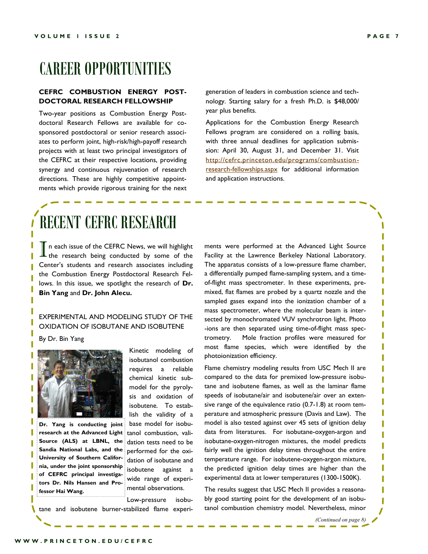### CAREER OPPORTUNITIES

#### **CEFRC COMBUSTION ENERGY POST-DOCTORAL RESEARCH FELLOWSHIP**

Two-year positions as Combustion Energy Postdoctoral Research Fellows are available for cosponsored postdoctoral or senior research associates to perform joint, high-risk/high-payoff research projects with at least two principal investigators of the CEFRC at their respective locations, providing synergy and continuous rejuvenation of research directions. These are highly competitive appointments which provide rigorous training for the next

generation of leaders in combustion science and technology. Starting salary for a fresh Ph.D. is \$48,000/ year plus benefits.

Applications for the Combustion Energy Research Fellows program are considered on a rolling basis, with three annual deadlines for application submission: April 30, August 31, and December 31. Visit [http://cefrc.princeton.edu/programs/combustion](http://cefrc.princeton.edu/programs/combustion-research-fellowships.aspx)[research-fellowships.aspx](http://cefrc.princeton.edu/programs/combustion-research-fellowships.aspx) for additional information and application instructions.

### RECENT CEFRC RESEARCH

In each issue of the CEFRC News, we will highlight<br>the research being conducted by some of the n each issue of the CEFRC News, we will highlight Center's students and research associates including the Combustion Energy Postdoctoral Research Fellows. In this issue, we spotlight the research of **Dr. Bin Yang** and **Dr. John Alecu.**

#### EXPERIMENTAL AND MODELING STUDY OF THE OXIDATION OF ISOBUTANE AND ISOBUTENE

By Dr. Bin Yang



**Dr. Yang is conducting joint research at the Advanced Light Source (ALS) at LBNL, the Sandia National Labs, and the University of Southern California, under the joint sponsorship of CEFRC principal investigators Dr. Nils Hansen and Professor Hai Wang.** 

Kinetic modeling of isobutanol combustion requires a reliable chemical kinetic submodel for the pyrolysis and oxidation of isobutene. To establish the validity of a base model for isobutanol combustion, validation tests need to be performed for the oxidation of isobutane and isobutene against a wide range of experimental observations.

Low-pressure isobu-

V tane and isobutene burner-stabilized flame experiments were performed at the Advanced Light Source Facility at the Lawrence Berkeley National Laboratory. The apparatus consists of a low-pressure flame chamber, a differentially pumped flame-sampling system, and a timeof-flight mass spectrometer. In these experiments, premixed, flat flames are probed by a quartz nozzle and the sampled gases expand into the ionization chamber of a mass spectrometer, where the molecular beam is intersected by monochromated VUV synchrotron light. Photo -ions are then separated using time-of-flight mass spectrometry. Mole fraction profiles were measured for most flame species, which were identified by the photoionization efficiency.

Flame chemistry modeling results from USC Mech II are compared to the data for premixed low-pressure isobutane and isobutene flames, as well as the laminar flame speeds of isobutane/air and isobutene/air over an extensive range of the equivalence ratio (0.7-1.8) at room temperature and atmospheric pressure (Davis and Law). The model is also tested against over 45 sets of ignition delay data from literatures. For isobutane-oxygen-argon and isobutane-oxygen-nitrogen mixtures, the model predicts fairly well the ignition delay times throughout the entire temperature range. For isobutene-oxygen-argon mixture, the predicted ignition delay times are higher than the experimental data at lower temperatures (1300-1500K).

The results suggest that USC Mech II provides a reasonably good starting point for the development of an isobutanol combustion chemistry model. Nevertheless, minor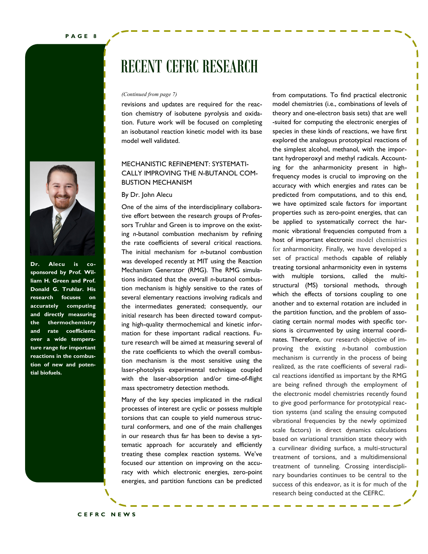

**Dr. Alecu is cosponsored by Prof. William H. Green and Prof. Donald G. Truhlar. His research focuses on accurately computing and directly measuring the thermochemistry and rate coefficients over a wide temperature range for important reactions in the combustion of new and potential biofuels.**

### RECENT CEFRC RESEARCH

revisions and updates are required for the reaction chemistry of isobutene pyrolysis and oxidation. Future work will be focused on completing an isobutanol reaction kinetic model with its base model well validated.

### MECHANISTIC REFINEMENT: SYSTEMATI-CALLY IMPROVING THE *N*-BUTANOL COM-BUSTION MECHANISM

#### By Dr. John Alecu

One of the aims of the interdisciplinary collaborative effort between the research groups of Professors Truhlar and Green is to improve on the existing *n*-butanol combustion mechanism by refining the rate coefficients of several critical reactions. The initial mechanism for *n*-butanol combustion was developed recently at MIT using the Reaction Mechanism Generator (RMG). The RMG simulations indicated that the overall *n*-butanol combustion mechanism is highly sensitive to the rates of several elementary reactions involving radicals and the intermediates generated; consequently, our initial research has been directed toward computing high-quality thermochemical and kinetic information for these important radical reactions. Future research will be aimed at measuring several of the rate coefficients to which the overall combustion mechanism is the most sensitive using the laser-photolysis experimental technique coupled with the laser-absorption and/or time-of-flight mass spectrometry detection methods.

Many of the key species implicated in the radical processes of interest are cyclic or possess multiple torsions that can couple to yield numerous structural conformers, and one of the main challenges in our research thus far has been to devise a systematic approach for accurately and efficiently treating these complex reaction systems. We've focused our attention on improving on the accuracy with which electronic energies, zero-point energies, and partition functions can be predicted

**Bin Yang** a curvilinear dividing surface, a multi-structural *(Continued from page 7)* from computations. To find practical electronic model chemistries (i.e., combinations of levels of theory and one-electron basis sets) that are well -suited for computing the electronic energies of species in these kinds of reactions, we have first explored the analogous prototypical reactions of the simplest alcohol, methanol, with the important hydroperoxyl and methyl radicals. Accounting for the anharmonicity present in highfrequency modes is crucial to improving on the accuracy with which energies and rates can be predicted from computations, and to this end, we have optimized scale factors for important properties such as zero-point energies, that can be applied to systematically correct the harmonic vibrational frequencies computed from a host of important electronic model chemistries for anharmonicity. Finally, we have developed a set of practical methods capable of reliably treating torsional anharmonicity even in systems with multiple torsions, called the multistructural (MS) torsional methods, through which the effects of torsions coupling to one another and to external rotation are included in the partition function, and the problem of associating certain normal modes with specific torsions is circumvented by using internal coordinates. Therefore, our research objective of improving the existing *n*-butanol combustion mechanism is currently in the process of being realized, as the rate coefficients of several radical reactions identified as important by the RMG are being refined through the employment of the electronic model chemistries recently found to give good performance for prototypical reaction systems (and scaling the ensuing computed vibrational frequencies by the newly optimized scale factors) in direct dynamics calculations based on variational transition state theory with treatment of torsions, and a multidimensional treatment of tunneling. Crossing interdisciplinary boundaries continues to be central to the success of this endeavor, as it is for much of the research being conducted at the CEFRC.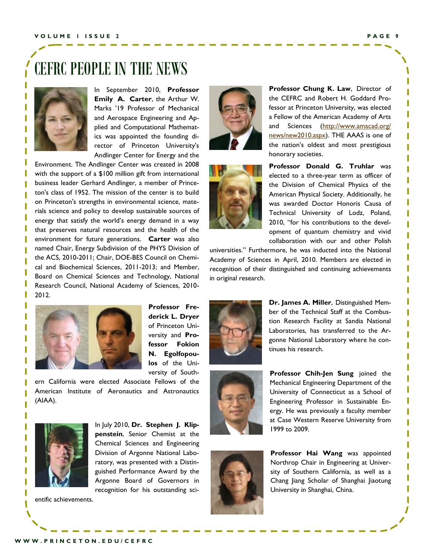### CEFRC PEOPLE IN THE NEWS



In September 2010, **Professor Emily A. Carter**, the Arthur W. Marks '19 Professor of [Mechanical](http://www.princeton.edu/mae/)  [and Aerospace Engineering a](http://www.princeton.edu/mae/)nd [Ap](http://www.pacm.princeton.edu/index.shtml)[plied and Computational Mathemat](http://www.pacm.princeton.edu/index.shtml)[ics](http://www.pacm.princeton.edu/index.shtml) was appointed the founding director of Princeton University's [Andlinger Center for Energy and the](http://www.princeton.edu/acee/) 

[Environment.](http://www.princeton.edu/acee/) The Andlinger Center was created in 2008 with the support of a [\\$100 million gift f](http://www.princeton.edu/main/news/archive/S21/48/54G75/)rom international business leader Gerhard Andlinger, a member of Princeton's class of 1952. The mission of the center is to build on Princeton's strengths in environmental science, materials science and policy to develop sustainable sources of energy that satisfy the world's energy demand in a way that preserves natural resources and the health of the environment for future generations. **Carter** was also named Chair, Energy Subdivision of the PHYS Division of the ACS, 2010-2011; Chair, DOE-BES Council on Chemical and Biochemical Sciences, 2011-2013; and Member, Board on Chemical Sciences and Technology, National Research Council, National Academy of Sciences, 2010- 2012.



**Professor Frederick L. Dryer** of Princeton University and **Professor Fokion N. Egolfopoulos** of the University of South-

ern California were elected Associate Fellows of the American Institute of Aeronautics and Astronautics (AIAA).



In July 2010, **Dr. Stephen J. Klippenstein**, Senior Chemist at the Chemical Sciences and Engineering Division of Argonne National Laboratory, was presented with a Distinguished Performance Award by the Argonne Board of Governors in recognition for his outstanding sci-

entific achievements.





**Professor Chung K. Law**, Director of the CEFRC and Robert H. Goddard Professor at Princeton University, was elected a Fellow of the American Academy of Arts and Sciences ([http://www.amacad.org/](http://www.amacad.org/news/new2010.aspx) [news/new2010.aspx\)](http://www.amacad.org/news/new2010.aspx). THE AAAS is one of the nation's oldest and most prestigious honorary societies.

**Professor Donald G. Truhlar** was elected to a three-year term as officer of the Division of Chemical Physics of the American Physical Society. Additionally, he was awarded Doctor Honoris Causa of Technical University of Lodz, Poland, 2010, "for his contributions to the development of quantum chemistry and vivid collaboration with our and other Polish

universities." Furthermore, he was inducted into the National Academy of Sciences in April, 2010. Members are elected in recognition of their distinguished and continuing achievements in original research.



**Dr. James A. Miller**, Distinguished Member of the Technical Staff at the Combustion Research Facility at Sandia National Laboratories, has transferred to the Argonne National Laboratory where he continues his research.



**Professor Chih-Jen Sung** joined the Mechanical Engineering Department of the University of Connecticut as a School of Engineering Professor in Sustainable Energy. He was previously a faculty member at Case Western Reserve University from 1999 to 2009.



**Professor Hai Wang** was appointed Northrop Chair in Engineering at University of Southern California, as well as a Chang Jiang Scholar of Shanghai Jiaotung University in Shanghai, China.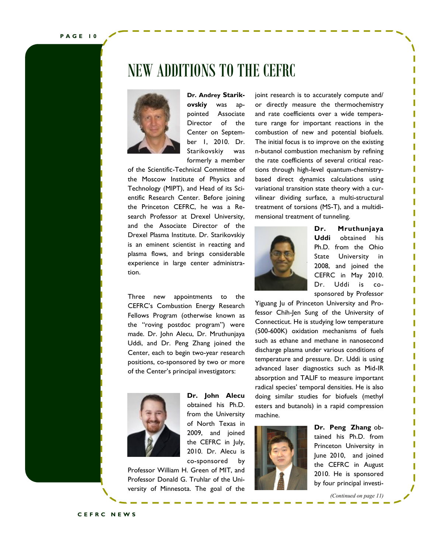**P A G E 1 0**

### NEW ADDITIONS TO THE CEFRC



**Dr. Andrey Starikovskiy** was appointed Associate Director of the Center on September 1, 2010. Dr. Starikovskiy was formerly a member

of the Scientific-Technical Committee of the Moscow Institute of Physics and Technology (MIPT), and Head of its Scientific Research Center. Before joining the Princeton CEFRC, he was a Research Professor at Drexel University, and the Associate Director of the Drexel Plasma Institute. Dr. Starikovskiy is an eminent scientist in reacting and plasma flows, and brings considerable experience in large center administration.

Three new appointments to the CEFRC's Combustion Energy Research Fellows Program (otherwise known as the "roving postdoc program") were made. Dr. John Alecu, Dr. Mruthunjaya Uddi, and Dr. Peng Zhang joined the Center, each to begin two-year research positions, co-sponsored by two or more of the Center's principal investigators:



**Dr. John Alecu** obtained his Ph.D. from the University of North Texas in 2009, and joined the CEFRC in July, 2010. Dr. Alecu is co-sponsored by

Professor William H. Green of MIT, and Professor Donald G. Truhlar of the University of Minnesota. The goal of the joint research is to accurately compute and/ or directly measure the thermochemistry and rate coefficients over a wide temperature range for important reactions in the combustion of new and potential biofuels. The initial focus is to improve on the existing n-butanol combustion mechanism by refining the rate coefficients of several critical reactions through high-level quantum-chemistrybased direct dynamics calculations using variational transition state theory with a curvilinear dividing surface, a multi-structural treatment of torsions (MS-T), and a multidimensional treatment of tunneling.



**Dr. Mruthunjaya Uddi** obtained his Ph.D. from the Ohio State University in 2008, and joined the CEFRC in May 2010. Dr. Uddi is cosponsored by Professor

Yiguang Ju of Princeton University and Professor Chih-Jen Sung of the University of Connecticut. He is studying low temperature (500-600K) oxidation mechanisms of fuels such as ethane and methane in nanosecond discharge plasma under various conditions of temperature and pressure. Dr. Uddi is using advanced laser diagnostics such as Mid-IR absorption and TALIF to measure important radical species' temporal densities. He is also doing similar studies for biofuels (methyl esters and butanols) in a rapid compression machine.



**Dr. Peng Zhang** obtained his Ph.D. from Princeton University in June 2010, and joined the CEFRC in August 2010. He is sponsored by four principal investi-

*(Continued on page 11)*

**C E F R C N E W S**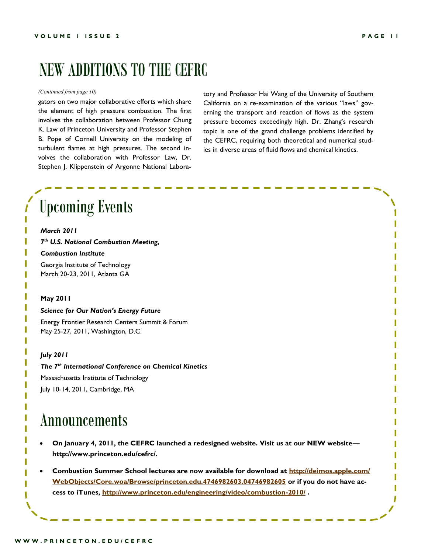### NEW ADDITIONS TO THE CEFRC

#### *(Continued from page 10)*

gators on two major collaborative efforts which share the element of high pressure combustion. The first involves the collaboration between Professor Chung K. Law of Princeton University and Professor Stephen B. Pope of Cornell University on the modeling of turbulent flames at high pressures. The second involves the collaboration with Professor Law, Dr. Stephen J. Klippenstein of Argonne National Laboratory and Professor Hai Wang of the University of Southern California on a re-examination of the various "laws" governing the transport and reaction of flows as the system pressure becomes exceedingly high. Dr. Zhang's research topic is one of the grand challenge problems identified by the CEFRC, requiring both theoretical and numerical studies in diverse areas of fluid flows and chemical kinetics.

### Upcoming Events *March 2011 7 th U.S. National Combustion Meeting, Combustion Institute*

Georgia Institute of Technology March 20-23, 2011, Atlanta GA

#### **May 2011**

### *Science for Our Nation's Energy Future* Energy Frontier Research Centers Summit & Forum May 25-27, 2011, Washington, D.C.

#### *July 2011*

*The 7th International Conference on Chemical Kinetics* Massachusetts Institute of Technology July 10-14, 2011, Cambridge, MA

### Announcements

- **On January 4, 2011, the CEFRC launched a redesigned website. Visit us at our NEW website [http://www.princeton.edu/cefrc/.](http://www.princeton.edu/cefrc/)**
- **Combustion Summer School lectures are now available for download at [http://deimos.apple.com/](http://deimos.apple.com/WebObjects/Core.woa/Browse/princeton.edu.4746982603.04746982605) [WebObjects/Core.woa/Browse/princeton.edu.4746982603.04746982605](http://deimos.apple.com/WebObjects/Core.woa/Browse/princeton.edu.4746982603.04746982605) or if you do not have access to iTunes,<http://www.princeton.edu/engineering/video/combustion-2010/> .**